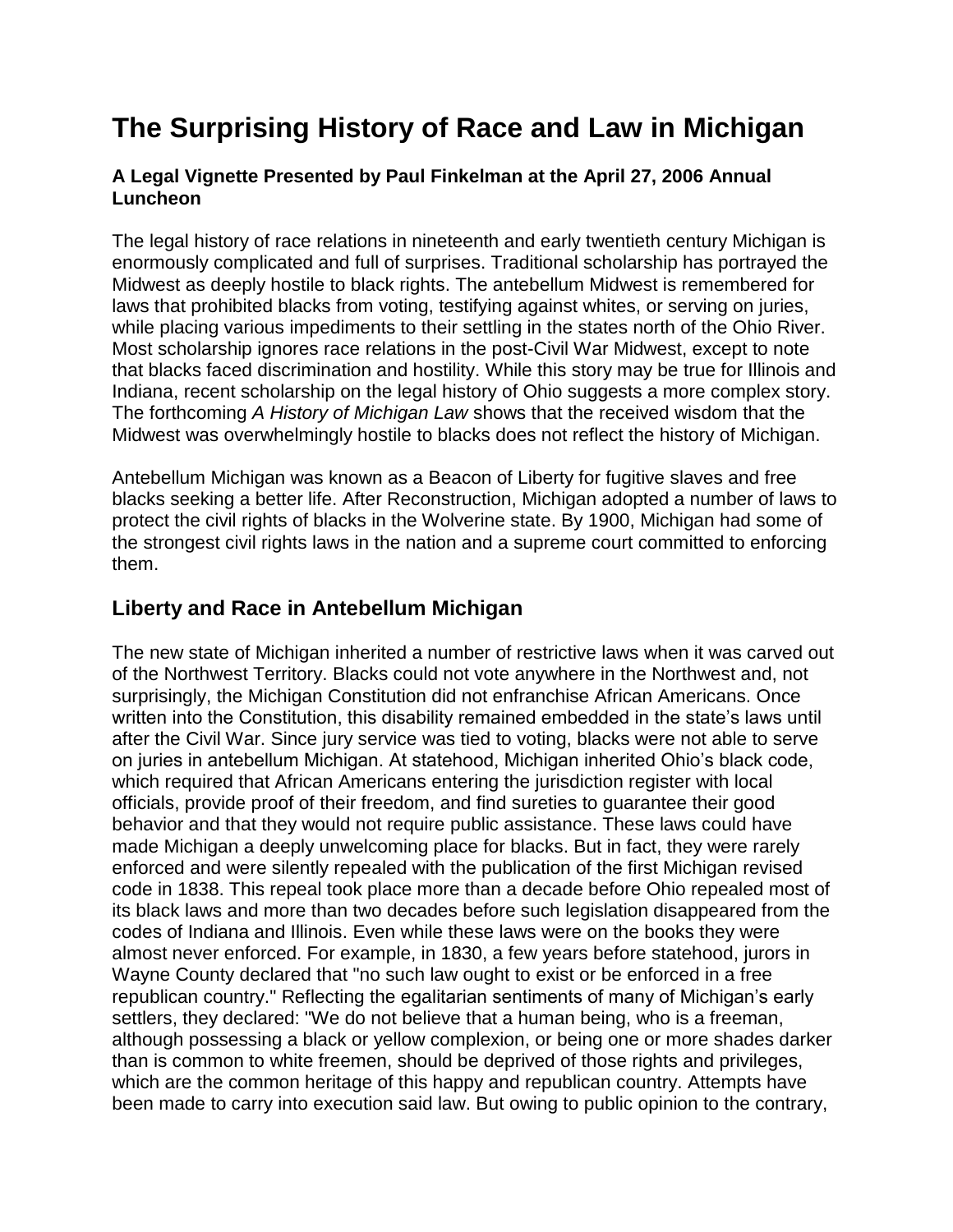# **The Surprising History of Race and Law in Michigan**

#### **A Legal Vignette Presented by Paul Finkelman at the April 27, 2006 Annual Luncheon**

The legal history of race relations in nineteenth and early twentieth century Michigan is enormously complicated and full of surprises. Traditional scholarship has portrayed the Midwest as deeply hostile to black rights. The antebellum Midwest is remembered for laws that prohibited blacks from voting, testifying against whites, or serving on juries, while placing various impediments to their settling in the states north of the Ohio River. Most scholarship ignores race relations in the post-Civil War Midwest, except to note that blacks faced discrimination and hostility. While this story may be true for Illinois and Indiana, recent scholarship on the legal history of Ohio suggests a more complex story. The forthcoming *A History of Michigan Law* shows that the received wisdom that the Midwest was overwhelmingly hostile to blacks does not reflect the history of Michigan.

Antebellum Michigan was known as a Beacon of Liberty for fugitive slaves and free blacks seeking a better life. After Reconstruction, Michigan adopted a number of laws to protect the civil rights of blacks in the Wolverine state. By 1900, Michigan had some of the strongest civil rights laws in the nation and a supreme court committed to enforcing them.

## **Liberty and Race in Antebellum Michigan**

The new state of Michigan inherited a number of restrictive laws when it was carved out of the Northwest Territory. Blacks could not vote anywhere in the Northwest and, not surprisingly, the Michigan Constitution did not enfranchise African Americans. Once written into the Constitution, this disability remained embedded in the state's laws until after the Civil War. Since jury service was tied to voting, blacks were not able to serve on juries in antebellum Michigan. At statehood, Michigan inherited Ohio's black code, which required that African Americans entering the jurisdiction register with local officials, provide proof of their freedom, and find sureties to guarantee their good behavior and that they would not require public assistance. These laws could have made Michigan a deeply unwelcoming place for blacks. But in fact, they were rarely enforced and were silently repealed with the publication of the first Michigan revised code in 1838. This repeal took place more than a decade before Ohio repealed most of its black laws and more than two decades before such legislation disappeared from the codes of Indiana and Illinois. Even while these laws were on the books they were almost never enforced. For example, in 1830, a few years before statehood, jurors in Wayne County declared that "no such law ought to exist or be enforced in a free republican country." Reflecting the egalitarian sentiments of many of Michigan's early settlers, they declared: "We do not believe that a human being, who is a freeman, although possessing a black or yellow complexion, or being one or more shades darker than is common to white freemen, should be deprived of those rights and privileges, which are the common heritage of this happy and republican country. Attempts have been made to carry into execution said law. But owing to public opinion to the contrary,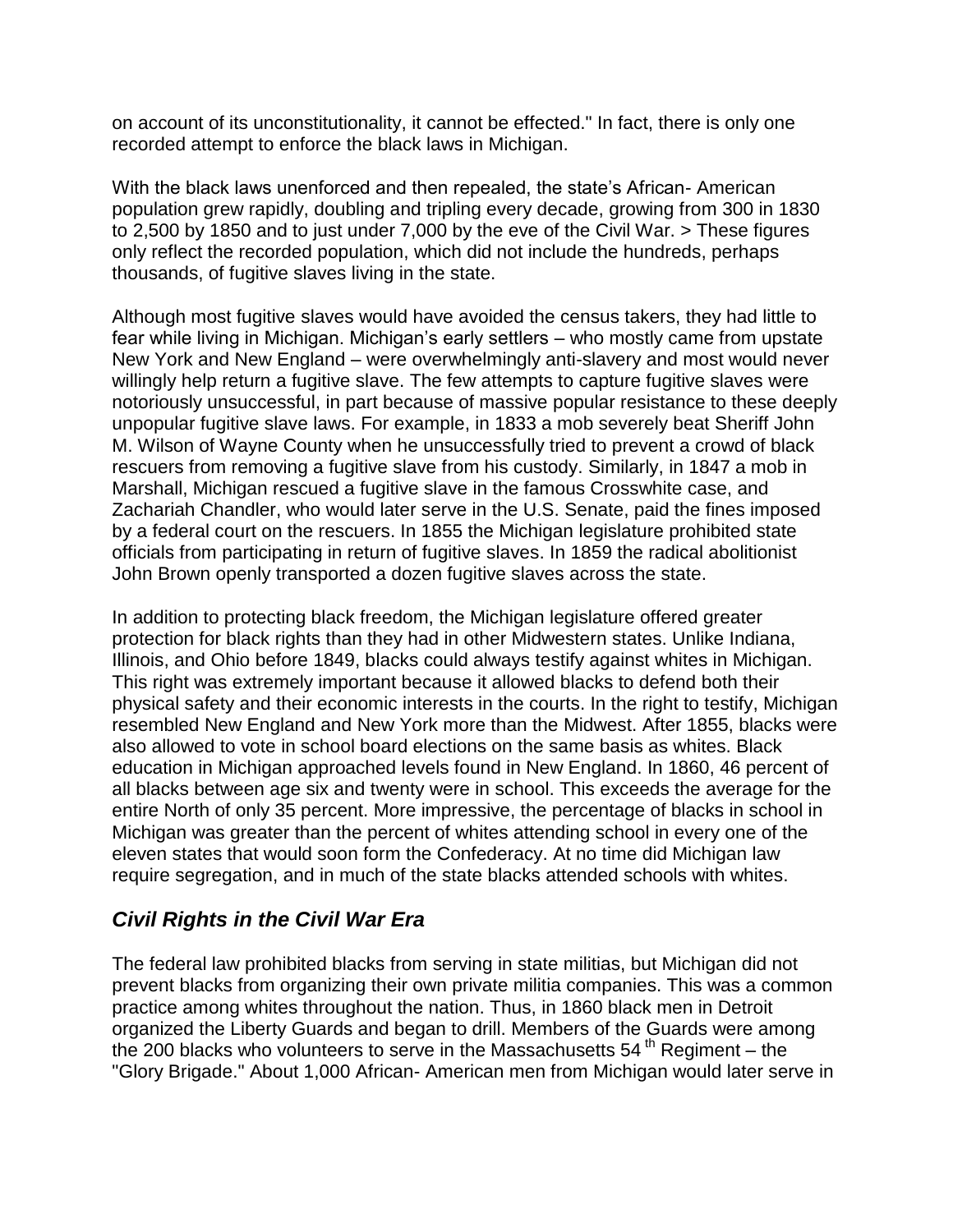on account of its unconstitutionality, it cannot be effected." In fact, there is only one recorded attempt to enforce the black laws in Michigan.

With the black laws unenforced and then repealed, the state's African- American population grew rapidly, doubling and tripling every decade, growing from 300 in 1830 to 2,500 by 1850 and to just under 7,000 by the eve of the Civil War. > These figures only reflect the recorded population, which did not include the hundreds, perhaps thousands, of fugitive slaves living in the state.

Although most fugitive slaves would have avoided the census takers, they had little to fear while living in Michigan. Michigan's early settlers – who mostly came from upstate New York and New England – were overwhelmingly anti-slavery and most would never willingly help return a fugitive slave. The few attempts to capture fugitive slaves were notoriously unsuccessful, in part because of massive popular resistance to these deeply unpopular fugitive slave laws. For example, in 1833 a mob severely beat Sheriff John M. Wilson of Wayne County when he unsuccessfully tried to prevent a crowd of black rescuers from removing a fugitive slave from his custody. Similarly, in 1847 a mob in Marshall, Michigan rescued a fugitive slave in the famous Crosswhite case, and Zachariah Chandler, who would later serve in the U.S. Senate, paid the fines imposed by a federal court on the rescuers. In 1855 the Michigan legislature prohibited state officials from participating in return of fugitive slaves. In 1859 the radical abolitionist John Brown openly transported a dozen fugitive slaves across the state.

In addition to protecting black freedom, the Michigan legislature offered greater protection for black rights than they had in other Midwestern states. Unlike Indiana, Illinois, and Ohio before 1849, blacks could always testify against whites in Michigan. This right was extremely important because it allowed blacks to defend both their physical safety and their economic interests in the courts. In the right to testify, Michigan resembled New England and New York more than the Midwest. After 1855, blacks were also allowed to vote in school board elections on the same basis as whites. Black education in Michigan approached levels found in New England. In 1860, 46 percent of all blacks between age six and twenty were in school. This exceeds the average for the entire North of only 35 percent. More impressive, the percentage of blacks in school in Michigan was greater than the percent of whites attending school in every one of the eleven states that would soon form the Confederacy. At no time did Michigan law require segregation, and in much of the state blacks attended schools with whites.

## *Civil Rights in the Civil War Era*

The federal law prohibited blacks from serving in state militias, but Michigan did not prevent blacks from organizing their own private militia companies. This was a common practice among whites throughout the nation. Thus, in 1860 black men in Detroit organized the Liberty Guards and began to drill. Members of the Guards were among the 200 blacks who volunteers to serve in the Massachusetts  $54<sup>th</sup>$  Regiment – the "Glory Brigade." About 1,000 African- American men from Michigan would later serve in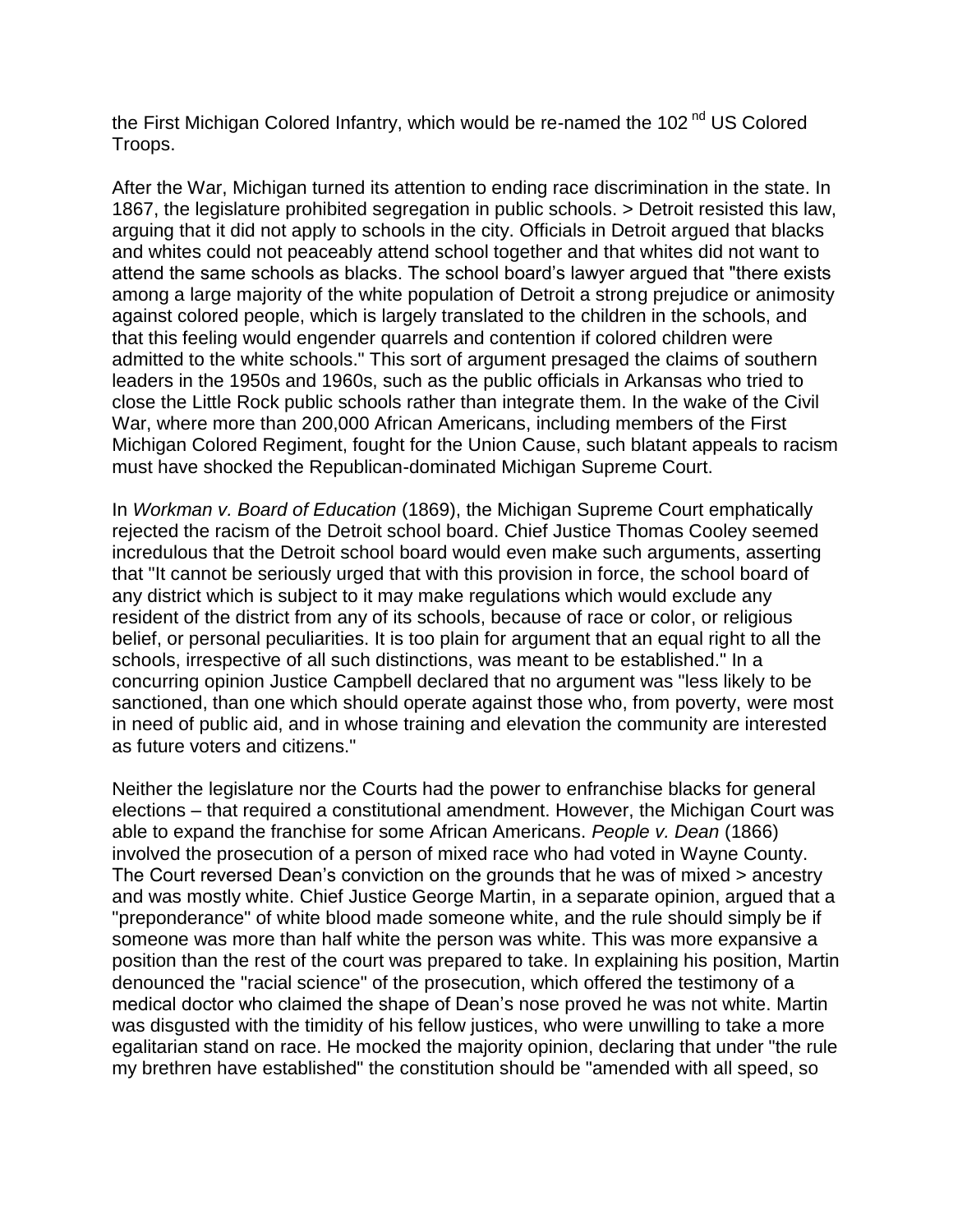the First Michigan Colored Infantry, which would be re-named the 102<sup>nd</sup> US Colored Troops.

After the War, Michigan turned its attention to ending race discrimination in the state. In 1867, the legislature prohibited segregation in public schools. > Detroit resisted this law, arguing that it did not apply to schools in the city. Officials in Detroit argued that blacks and whites could not peaceably attend school together and that whites did not want to attend the same schools as blacks. The school board's lawyer argued that "there exists among a large majority of the white population of Detroit a strong prejudice or animosity against colored people, which is largely translated to the children in the schools, and that this feeling would engender quarrels and contention if colored children were admitted to the white schools." This sort of argument presaged the claims of southern leaders in the 1950s and 1960s, such as the public officials in Arkansas who tried to close the Little Rock public schools rather than integrate them. In the wake of the Civil War, where more than 200,000 African Americans, including members of the First Michigan Colored Regiment, fought for the Union Cause, such blatant appeals to racism must have shocked the Republican-dominated Michigan Supreme Court.

In *Workman v. Board of Education* (1869), the Michigan Supreme Court emphatically rejected the racism of the Detroit school board. Chief Justice Thomas Cooley seemed incredulous that the Detroit school board would even make such arguments, asserting that "It cannot be seriously urged that with this provision in force, the school board of any district which is subject to it may make regulations which would exclude any resident of the district from any of its schools, because of race or color, or religious belief, or personal peculiarities. It is too plain for argument that an equal right to all the schools, irrespective of all such distinctions, was meant to be established." In a concurring opinion Justice Campbell declared that no argument was "less likely to be sanctioned, than one which should operate against those who, from poverty, were most in need of public aid, and in whose training and elevation the community are interested as future voters and citizens."

Neither the legislature nor the Courts had the power to enfranchise blacks for general elections – that required a constitutional amendment. However, the Michigan Court was able to expand the franchise for some African Americans. *People v. Dean* (1866) involved the prosecution of a person of mixed race who had voted in Wayne County. The Court reversed Dean's conviction on the grounds that he was of mixed > ancestry and was mostly white. Chief Justice George Martin, in a separate opinion, argued that a "preponderance" of white blood made someone white, and the rule should simply be if someone was more than half white the person was white. This was more expansive a position than the rest of the court was prepared to take. In explaining his position, Martin denounced the "racial science" of the prosecution, which offered the testimony of a medical doctor who claimed the shape of Dean's nose proved he was not white. Martin was disgusted with the timidity of his fellow justices, who were unwilling to take a more egalitarian stand on race. He mocked the majority opinion, declaring that under "the rule my brethren have established" the constitution should be "amended with all speed, so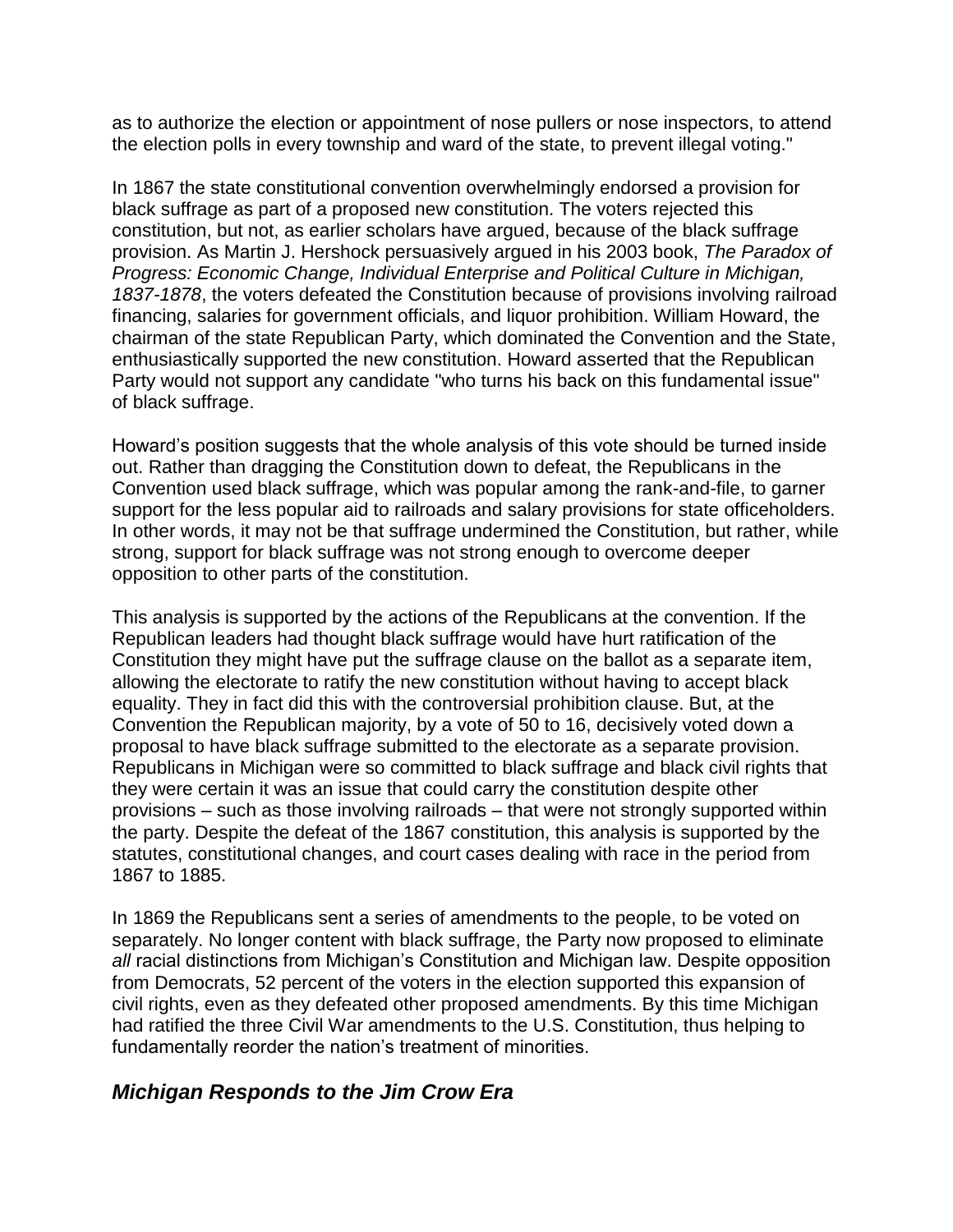as to authorize the election or appointment of nose pullers or nose inspectors, to attend the election polls in every township and ward of the state, to prevent illegal voting."

In 1867 the state constitutional convention overwhelmingly endorsed a provision for black suffrage as part of a proposed new constitution. The voters rejected this constitution, but not, as earlier scholars have argued, because of the black suffrage provision. As Martin J. Hershock persuasively argued in his 2003 book, *The Paradox of Progress: Economic Change, Individual Enterprise and Political Culture in Michigan, 1837-1878*, the voters defeated the Constitution because of provisions involving railroad financing, salaries for government officials, and liquor prohibition. William Howard, the chairman of the state Republican Party, which dominated the Convention and the State, enthusiastically supported the new constitution. Howard asserted that the Republican Party would not support any candidate "who turns his back on this fundamental issue" of black suffrage.

Howard's position suggests that the whole analysis of this vote should be turned inside out. Rather than dragging the Constitution down to defeat, the Republicans in the Convention used black suffrage, which was popular among the rank-and-file, to garner support for the less popular aid to railroads and salary provisions for state officeholders. In other words, it may not be that suffrage undermined the Constitution, but rather, while strong, support for black suffrage was not strong enough to overcome deeper opposition to other parts of the constitution.

This analysis is supported by the actions of the Republicans at the convention. If the Republican leaders had thought black suffrage would have hurt ratification of the Constitution they might have put the suffrage clause on the ballot as a separate item, allowing the electorate to ratify the new constitution without having to accept black equality. They in fact did this with the controversial prohibition clause. But, at the Convention the Republican majority, by a vote of 50 to 16, decisively voted down a proposal to have black suffrage submitted to the electorate as a separate provision. Republicans in Michigan were so committed to black suffrage and black civil rights that they were certain it was an issue that could carry the constitution despite other provisions – such as those involving railroads – that were not strongly supported within the party. Despite the defeat of the 1867 constitution, this analysis is supported by the statutes, constitutional changes, and court cases dealing with race in the period from 1867 to 1885.

In 1869 the Republicans sent a series of amendments to the people, to be voted on separately. No longer content with black suffrage, the Party now proposed to eliminate *all* racial distinctions from Michigan's Constitution and Michigan law. Despite opposition from Democrats, 52 percent of the voters in the election supported this expansion of civil rights, even as they defeated other proposed amendments. By this time Michigan had ratified the three Civil War amendments to the U.S. Constitution, thus helping to fundamentally reorder the nation's treatment of minorities.

#### *Michigan Responds to the Jim Crow Era*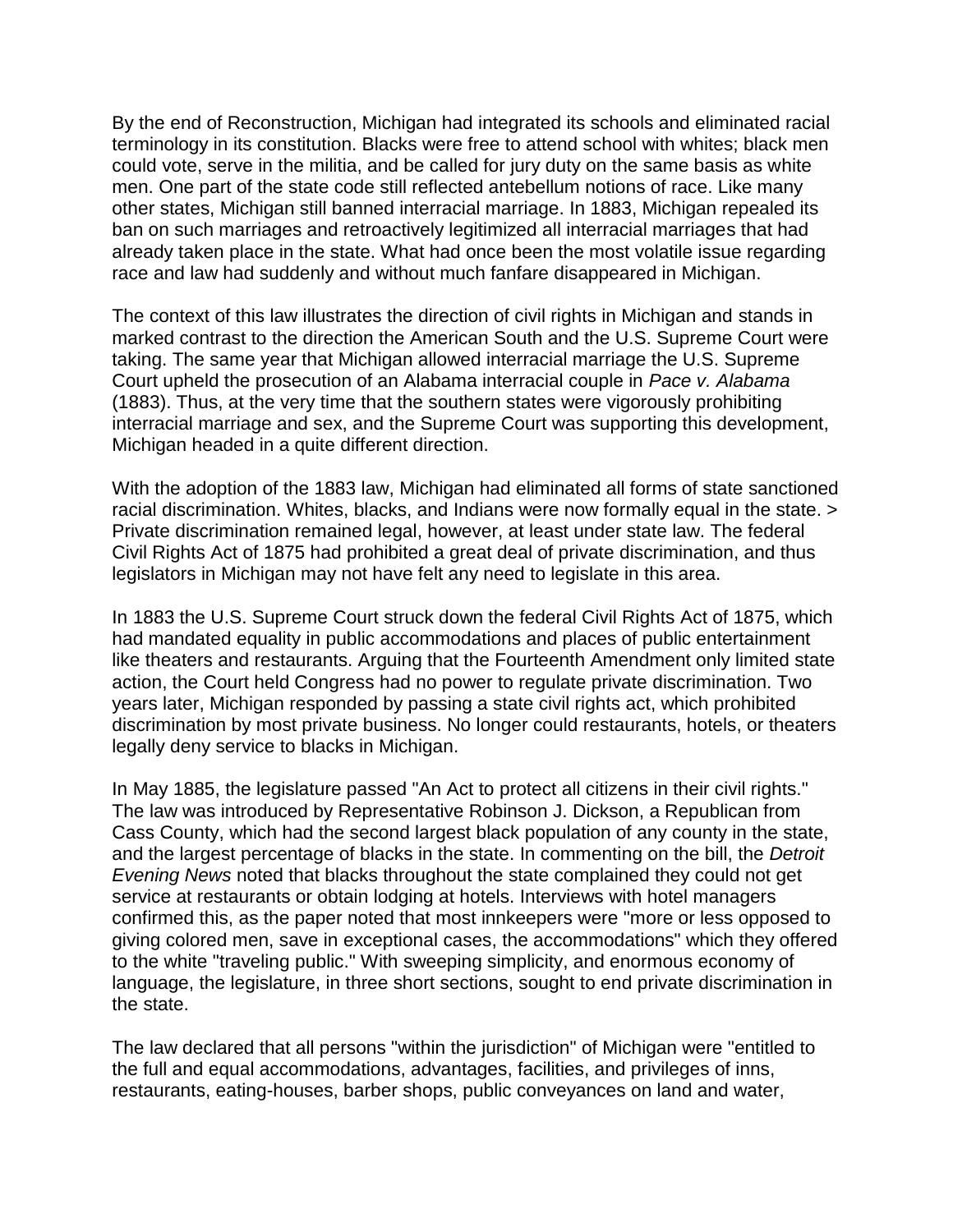By the end of Reconstruction, Michigan had integrated its schools and eliminated racial terminology in its constitution. Blacks were free to attend school with whites; black men could vote, serve in the militia, and be called for jury duty on the same basis as white men. One part of the state code still reflected antebellum notions of race. Like many other states, Michigan still banned interracial marriage. In 1883, Michigan repealed its ban on such marriages and retroactively legitimized all interracial marriages that had already taken place in the state. What had once been the most volatile issue regarding race and law had suddenly and without much fanfare disappeared in Michigan.

The context of this law illustrates the direction of civil rights in Michigan and stands in marked contrast to the direction the American South and the U.S. Supreme Court were taking. The same year that Michigan allowed interracial marriage the U.S. Supreme Court upheld the prosecution of an Alabama interracial couple in *Pace v. Alabama*  (1883). Thus, at the very time that the southern states were vigorously prohibiting interracial marriage and sex, and the Supreme Court was supporting this development, Michigan headed in a quite different direction.

With the adoption of the 1883 law, Michigan had eliminated all forms of state sanctioned racial discrimination. Whites, blacks, and Indians were now formally equal in the state. > Private discrimination remained legal, however, at least under state law. The federal Civil Rights Act of 1875 had prohibited a great deal of private discrimination, and thus legislators in Michigan may not have felt any need to legislate in this area.

In 1883 the U.S. Supreme Court struck down the federal Civil Rights Act of 1875, which had mandated equality in public accommodations and places of public entertainment like theaters and restaurants. Arguing that the Fourteenth Amendment only limited state action, the Court held Congress had no power to regulate private discrimination. Two years later, Michigan responded by passing a state civil rights act, which prohibited discrimination by most private business. No longer could restaurants, hotels, or theaters legally deny service to blacks in Michigan.

In May 1885, the legislature passed "An Act to protect all citizens in their civil rights." The law was introduced by Representative Robinson J. Dickson, a Republican from Cass County, which had the second largest black population of any county in the state, and the largest percentage of blacks in the state. In commenting on the bill, the *Detroit Evening News* noted that blacks throughout the state complained they could not get service at restaurants or obtain lodging at hotels. Interviews with hotel managers confirmed this, as the paper noted that most innkeepers were "more or less opposed to giving colored men, save in exceptional cases, the accommodations" which they offered to the white "traveling public." With sweeping simplicity, and enormous economy of language, the legislature, in three short sections, sought to end private discrimination in the state.

The law declared that all persons "within the jurisdiction" of Michigan were "entitled to the full and equal accommodations, advantages, facilities, and privileges of inns, restaurants, eating-houses, barber shops, public conveyances on land and water,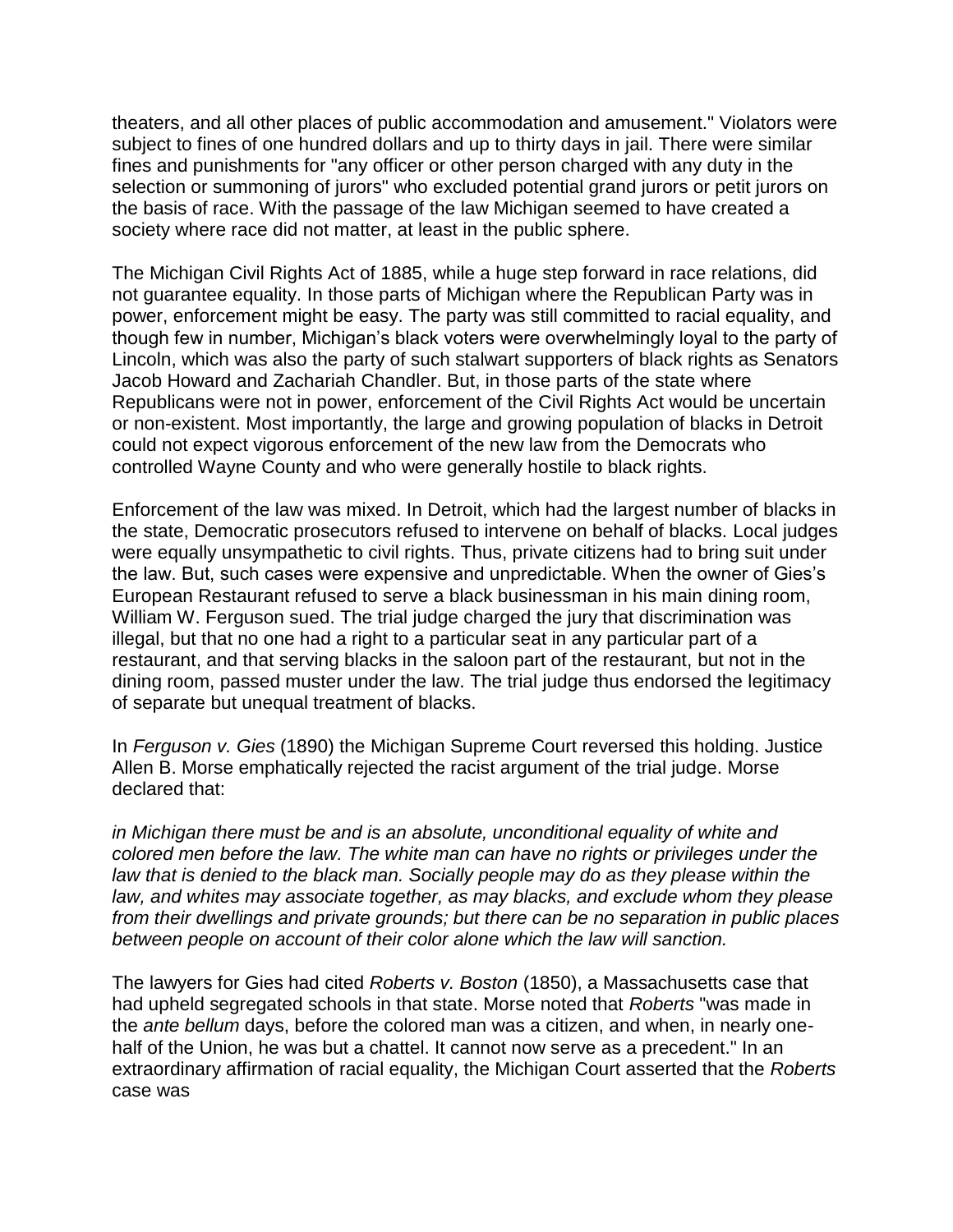theaters, and all other places of public accommodation and amusement." Violators were subject to fines of one hundred dollars and up to thirty days in jail. There were similar fines and punishments for "any officer or other person charged with any duty in the selection or summoning of jurors" who excluded potential grand jurors or petit jurors on the basis of race. With the passage of the law Michigan seemed to have created a society where race did not matter, at least in the public sphere.

The Michigan Civil Rights Act of 1885, while a huge step forward in race relations, did not guarantee equality. In those parts of Michigan where the Republican Party was in power, enforcement might be easy. The party was still committed to racial equality, and though few in number, Michigan's black voters were overwhelmingly loyal to the party of Lincoln, which was also the party of such stalwart supporters of black rights as Senators Jacob Howard and Zachariah Chandler. But, in those parts of the state where Republicans were not in power, enforcement of the Civil Rights Act would be uncertain or non-existent. Most importantly, the large and growing population of blacks in Detroit could not expect vigorous enforcement of the new law from the Democrats who controlled Wayne County and who were generally hostile to black rights.

Enforcement of the law was mixed. In Detroit, which had the largest number of blacks in the state, Democratic prosecutors refused to intervene on behalf of blacks. Local judges were equally unsympathetic to civil rights. Thus, private citizens had to bring suit under the law. But, such cases were expensive and unpredictable. When the owner of Gies's European Restaurant refused to serve a black businessman in his main dining room, William W. Ferguson sued. The trial judge charged the jury that discrimination was illegal, but that no one had a right to a particular seat in any particular part of a restaurant, and that serving blacks in the saloon part of the restaurant, but not in the dining room, passed muster under the law. The trial judge thus endorsed the legitimacy of separate but unequal treatment of blacks.

In *Ferguson v. Gies* (1890) the Michigan Supreme Court reversed this holding. Justice Allen B. Morse emphatically rejected the racist argument of the trial judge. Morse declared that:

*in Michigan there must be and is an absolute, unconditional equality of white and colored men before the law. The white man can have no rights or privileges under the law that is denied to the black man. Socially people may do as they please within the law, and whites may associate together, as may blacks, and exclude whom they please from their dwellings and private grounds; but there can be no separation in public places between people on account of their color alone which the law will sanction.*

The lawyers for Gies had cited *Roberts v. Boston* (1850), a Massachusetts case that had upheld segregated schools in that state. Morse noted that *Roberts* "was made in the *ante bellum* days, before the colored man was a citizen, and when, in nearly onehalf of the Union, he was but a chattel. It cannot now serve as a precedent." In an extraordinary affirmation of racial equality, the Michigan Court asserted that the *Roberts* case was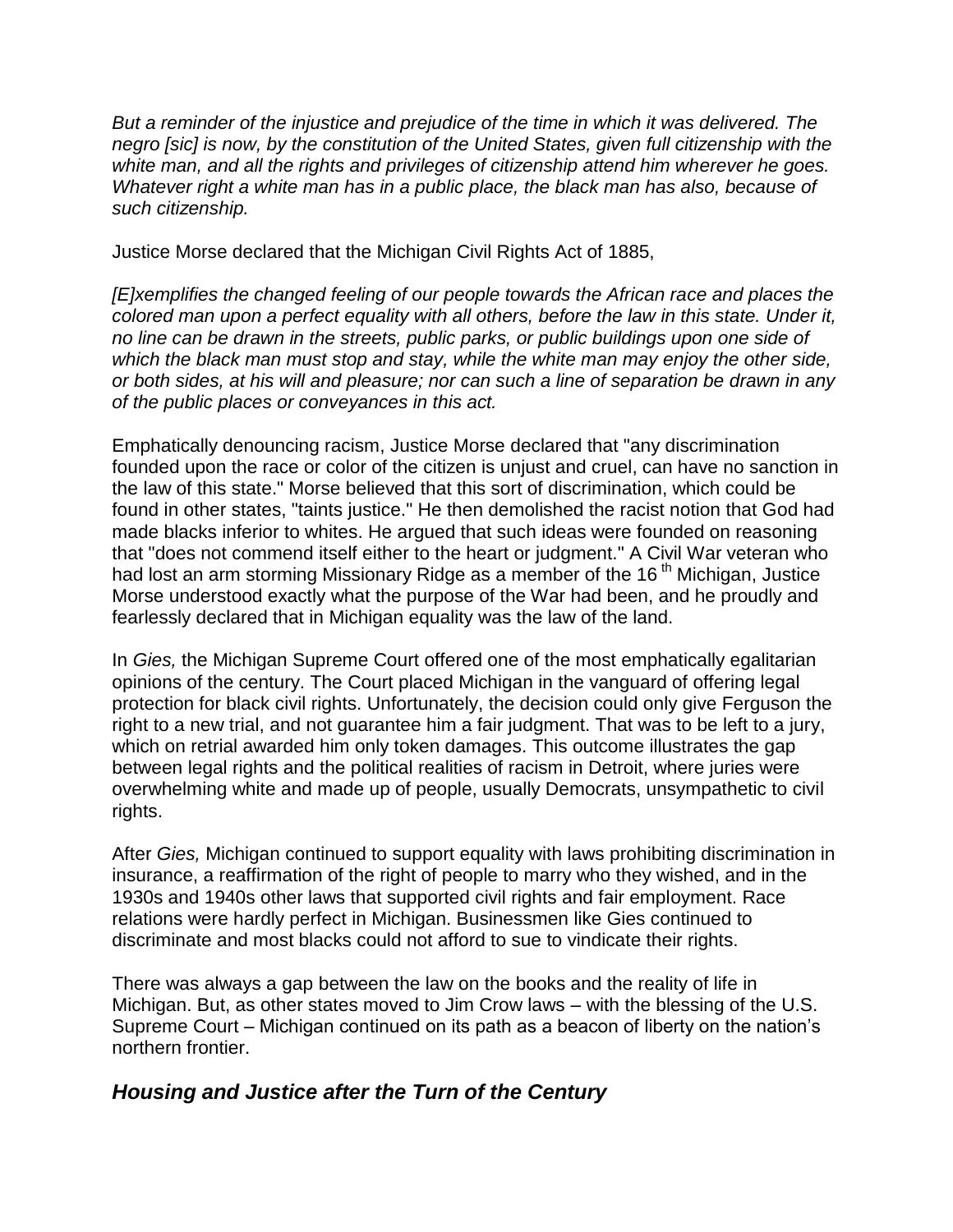*But a reminder of the injustice and prejudice of the time in which it was delivered. The negro [sic] is now, by the constitution of the United States, given full citizenship with the white man, and all the rights and privileges of citizenship attend him wherever he goes. Whatever right a white man has in a public place, the black man has also, because of such citizenship.*

Justice Morse declared that the Michigan Civil Rights Act of 1885,

*[E]xemplifies the changed feeling of our people towards the African race and places the colored man upon a perfect equality with all others, before the law in this state. Under it, no line can be drawn in the streets, public parks, or public buildings upon one side of which the black man must stop and stay, while the white man may enjoy the other side, or both sides, at his will and pleasure; nor can such a line of separation be drawn in any of the public places or conveyances in this act.*

Emphatically denouncing racism, Justice Morse declared that "any discrimination founded upon the race or color of the citizen is unjust and cruel, can have no sanction in the law of this state." Morse believed that this sort of discrimination, which could be found in other states, "taints justice." He then demolished the racist notion that God had made blacks inferior to whites. He argued that such ideas were founded on reasoning that "does not commend itself either to the heart or judgment." A Civil War veteran who had lost an arm storming Missionary Ridge as a member of the 16<sup>th</sup> Michigan, Justice Morse understood exactly what the purpose of the War had been, and he proudly and fearlessly declared that in Michigan equality was the law of the land.

In *Gies,* the Michigan Supreme Court offered one of the most emphatically egalitarian opinions of the century. The Court placed Michigan in the vanguard of offering legal protection for black civil rights. Unfortunately, the decision could only give Ferguson the right to a new trial, and not guarantee him a fair judgment. That was to be left to a jury, which on retrial awarded him only token damages. This outcome illustrates the gap between legal rights and the political realities of racism in Detroit, where juries were overwhelming white and made up of people, usually Democrats, unsympathetic to civil rights.

After *Gies,* Michigan continued to support equality with laws prohibiting discrimination in insurance, a reaffirmation of the right of people to marry who they wished, and in the 1930s and 1940s other laws that supported civil rights and fair employment. Race relations were hardly perfect in Michigan. Businessmen like Gies continued to discriminate and most blacks could not afford to sue to vindicate their rights.

There was always a gap between the law on the books and the reality of life in Michigan. But, as other states moved to Jim Crow laws – with the blessing of the U.S. Supreme Court – Michigan continued on its path as a beacon of liberty on the nation's northern frontier.

## *Housing and Justice after the Turn of the Century*